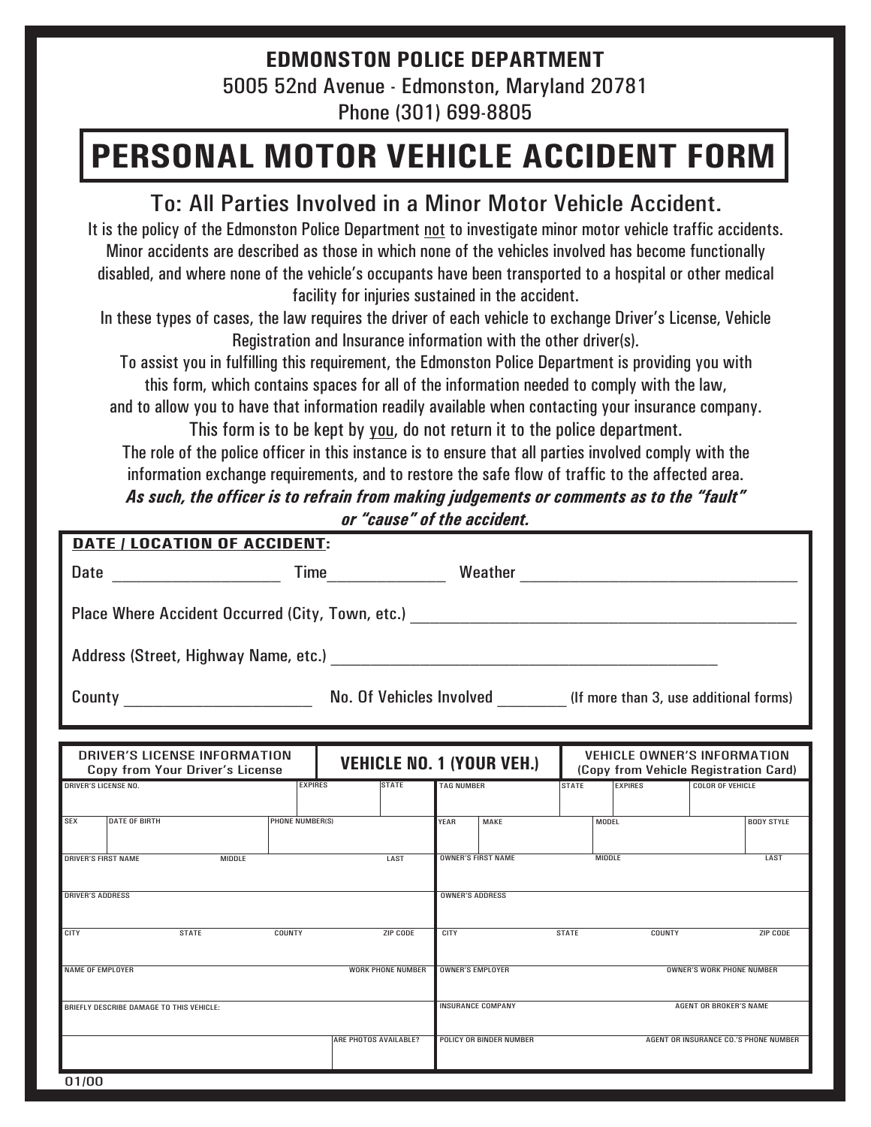## **EDMONSTON POLICE DEPARTMENT** 5005 52nd Avenue - Edmonston, Maryland 20781 Phone (301) 699-8805

## **PERSONAL MOTOR VEHICLE ACCIDENT FORM**

## To: All Parties Involved in a Minor Motor Vehicle Accident.

It is the policy of the Edmonston Police Department <u>not</u> to investigate minor motor vehicle traffic accidents. Minor accidents are described as those in which none of the vehicles involved has become functionally disabled, and where none of the vehicle's occupants have been transported to a hospital or other medical facility for injuries sustained in the accident.

In these types of cases, the law requires the driver of each vehicle to exchange Driver's License, Vehicle Registration and Insurance information with the other driver(s).

To assist you in fulfilling this requirement, the Edmonston Police Department is providing you with this form, which contains spaces for all of the information needed to comply with the law,

and to allow you to have that information readily available when contacting your insurance company.

The role of the police officer in this instance is to ensure that all parties involved comply with the information exchange requirements, and to restore the safe flow of traffic to the affected area. This form is to be kept by you, do not return it to the police department. *As such, the officer is to refrain from making judgements or comments as to the "fault" or "cause" of the accident.*

| DATE / LOCATION OF ACCIDENT:                                                                        |                      |                        |                                            |                   |                                                           |                                                      |                                                                             |                         |  |                                       |  |  |
|-----------------------------------------------------------------------------------------------------|----------------------|------------------------|--------------------------------------------|-------------------|-----------------------------------------------------------|------------------------------------------------------|-----------------------------------------------------------------------------|-------------------------|--|---------------------------------------|--|--|
| Date                                                                                                |                      |                        |                                            |                   |                                                           |                                                      |                                                                             |                         |  |                                       |  |  |
| Place Where Accident Occurred (City, Town, etc.) _______________________________                    |                      |                        |                                            |                   |                                                           |                                                      |                                                                             |                         |  |                                       |  |  |
|                                                                                                     |                      |                        |                                            |                   |                                                           |                                                      |                                                                             |                         |  |                                       |  |  |
|                                                                                                     |                      |                        |                                            |                   |                                                           |                                                      |                                                                             |                         |  |                                       |  |  |
|                                                                                                     |                      |                        |                                            |                   |                                                           |                                                      |                                                                             |                         |  |                                       |  |  |
| DRIVER'S LICENSE INFORMATION<br><b>VEHICLE NO. 1 (YOUR VEH.)</b><br>Copy from Your Driver's License |                      |                        |                                            |                   |                                                           |                                                      | <b>VEHICLE OWNER'S INFORMATION</b><br>(Copy from Vehicle Registration Card) |                         |  |                                       |  |  |
| <b>DRIVER'S LICENSE NO.</b><br><b>EXPIRES</b>                                                       |                      |                        | <b>STATE</b>                               | <b>TAG NUMBER</b> |                                                           | <b>STATE</b>                                         | <b>EXPIRES</b>                                                              | <b>COLOR OF VEHICLE</b> |  |                                       |  |  |
| <b>SEX</b>                                                                                          | <b>DATE OF BIRTH</b> | <b>PHONE NUMBER(S)</b> |                                            |                   | YEAR                                                      | MAKE                                                 | <b>MODEL</b>                                                                |                         |  | <b>BODY STYLE</b>                     |  |  |
| <b>DRIVER'S FIRST NAME</b>                                                                          | <b>MIDDLE</b>        | LAST                   | <b>OWNER'S FIRST NAME</b><br><b>MIDDLE</b> |                   |                                                           |                                                      |                                                                             | LAST                    |  |                                       |  |  |
| <b>DRIVER'S ADDRESS</b>                                                                             |                      |                        |                                            |                   |                                                           | <b>OWNER'S ADDRESS</b>                               |                                                                             |                         |  |                                       |  |  |
| <b>STATE</b><br>COUNTY<br>CITY                                                                      |                      |                        |                                            | ZIP CODE          |                                                           | CITY                                                 |                                                                             | <b>STATE</b><br>COUNTY  |  | ZIP CODE                              |  |  |
| <b>NAME OF EMPLOYER</b><br><b>WORK PHONE NUMBER</b>                                                 |                      |                        |                                            |                   |                                                           | <b>OWNER'S EMPLOYER</b><br>OWNER'S WORK PHONE NUMBER |                                                                             |                         |  |                                       |  |  |
| BRIEFLY DESCRIBE DAMAGE TO THIS VEHICLE:                                                            |                      |                        |                                            |                   | <b>INSURANCE COMPANY</b><br><b>AGENT OR BROKER'S NAME</b> |                                                      |                                                                             |                         |  |                                       |  |  |
|                                                                                                     |                      |                        | ARE PHOTOS AVAILABLE?                      |                   |                                                           | POLICY OR BINDER NUMBER                              |                                                                             |                         |  | AGENT OR INSURANCE CO.'S PHONE NUMBER |  |  |
| 01/00                                                                                               |                      |                        |                                            |                   |                                                           |                                                      |                                                                             |                         |  |                                       |  |  |